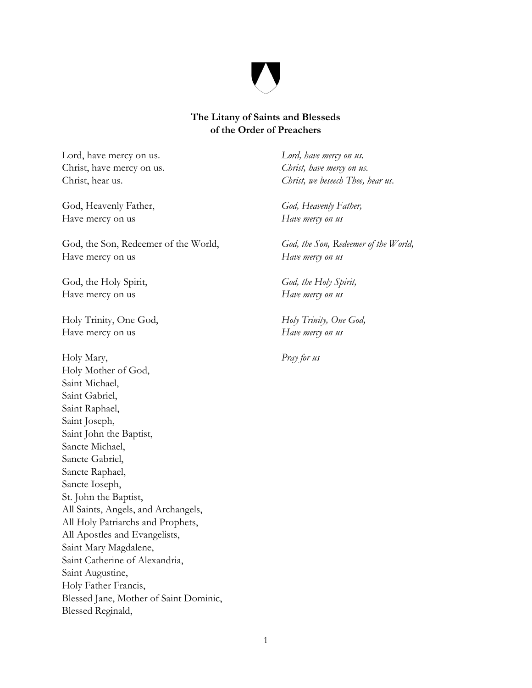

## **The Litany of Saints and Blesseds of the Order of Preachers**

Lord, have mercy on us. *Lord, have mercy on us.*  Christ, have mercy on us. *Christ, have mercy on us.*

God, Heavenly Father, *God, Heavenly Father,* Have mercy on us *Have mercy on us*

God, the Son, Redeemer of the World, *God, the Son, Redeemer of the World*, Have mercy on us *Have mercy on us*

God, the Holy Spirit, *God, the Holy Spirit,* Have mercy on us *Have mercy on us*

Holy Trinity, One God, *Holy Trinity, One God,* Have mercy on us *Have mercy on us*

Holy Mary, *Pray for us* Holy Mother of God, Saint Michael, Saint Gabriel, Saint Raphael, Saint Joseph, Saint John the Baptist, Sancte Michael, Sancte Gabriel, Sancte Raphael, Sancte Ioseph, St. John the Baptist, All Saints, Angels, and Archangels, All Holy Patriarchs and Prophets, All Apostles and Evangelists, Saint Mary Magdalene, Saint Catherine of Alexandria, Saint Augustine, Holy Father Francis, Blessed Jane, Mother of Saint Dominic, Blessed Reginald,

Christ, hear us. *Christ, we beseech Thee, hear us.*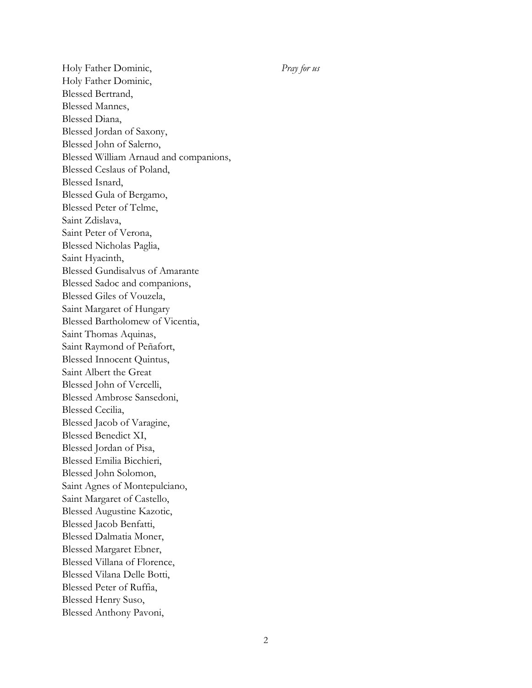Holy Father Dominic, *Pray for us* Holy Father Dominic, Blessed Bertrand, Blessed Mannes, Blessed Diana, Blessed Jordan of Saxony, Blessed John of Salerno, Blessed William Arnaud and companions, Blessed Ceslaus of Poland, Blessed Isnard, Blessed Gula of Bergamo, Blessed Peter of Telme, Saint Zdislava, Saint Peter of Verona, Blessed Nicholas Paglia, Saint Hyacinth, Blessed Gundisalvus of Amarante Blessed Sadoc and companions, Blessed Giles of Vouzela, Saint Margaret of Hungary Blessed Bartholomew of Vicentia, Saint Thomas Aquinas, Saint Raymond of Peñafort, Blessed Innocent Quintus, Saint Albert the Great Blessed John of Vercelli, Blessed Ambrose Sansedoni, Blessed Cecilia, Blessed Jacob of Varagine, Blessed Benedict XI, Blessed Jordan of Pisa, Blessed Emilia Bicchieri, Blessed John Solomon, Saint Agnes of Montepulciano, Saint Margaret of Castello, Blessed Augustine Kazotic, Blessed Jacob Benfatti, Blessed Dalmatia Moner, Blessed Margaret Ebner, Blessed Villana of Florence, Blessed Vilana Delle Botti, Blessed Peter of Ruffia, Blessed Henry Suso, Blessed Anthony Pavoni,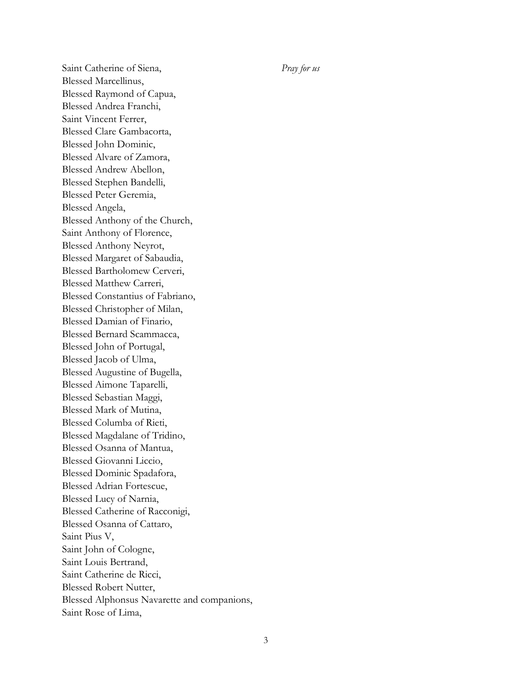Saint Catherine of Siena, *Pray for us* Blessed Marcellinus, Blessed Raymond of Capua, Blessed Andrea Franchi, Saint Vincent Ferrer, Blessed Clare Gambacorta, Blessed John Dominic, Blessed Alvare of Zamora, Blessed Andrew Abellon, Blessed Stephen Bandelli, Blessed Peter Geremia, Blessed Angela, Blessed Anthony of the Church, Saint Anthony of Florence, Blessed Anthony Neyrot, Blessed Margaret of Sabaudia, Blessed Bartholomew Cerveri, Blessed Matthew Carreri, Blessed Constantius of Fabriano, Blessed Christopher of Milan, Blessed Damian of Finario, Blessed Bernard Scammacca, Blessed John of Portugal, Blessed Jacob of Ulma, Blessed Augustine of Bugella, Blessed Aimone Taparelli, Blessed Sebastian Maggi, Blessed Mark of Mutina, Blessed Columba of Rieti, Blessed Magdalane of Tridino, Blessed Osanna of Mantua, Blessed Giovanni Liccio, Blessed Dominic Spadafora, Blessed Adrian Fortescue, Blessed Lucy of Narnia, Blessed Catherine of Racconigi, Blessed Osanna of Cattaro, Saint Pius V, Saint John of Cologne, Saint Louis Bertrand, Saint Catherine de Ricci, Blessed Robert Nutter, Blessed Alphonsus Navarette and companions, Saint Rose of Lima,